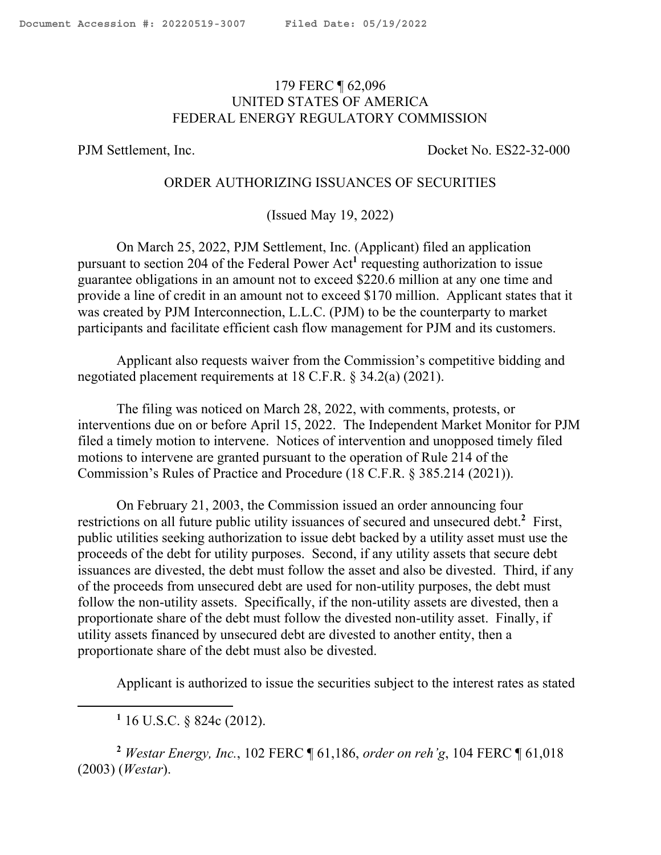## <span id="page-0-0"></span>179 FERC ¶ 62,096 UNITED STATES OF AMERICA FEDERAL ENERGY REGULATORY COMMISSION

PJM Settlement, Inc. Docket No. ES22-32-000

## ORDER AUTHORIZING ISSUANCES OF SECURITIES

(Issued May 19, 2022)

On March 25, 2022, PJM Settlement, Inc. (Applicant) filed an application pursuant to section 204 of the Federal Power Act**<sup>1</sup>** requesting authorization to issue guarantee obligations in an amount not to exceed \$220.6 million at any one time and provide a line of credit in an amount not to exceed \$170 million. Applicant states that it was created by PJM Interconnection, L.L.C. (PJM) to be the counterparty to market participants and facilitate efficient cash flow management for PJM and its customers.

Applicant also requests waiver from the Commission's competitive bidding and negotiated placement requirements at 18 C.F.R. § 34.2(a) (2021).

The filing was noticed on March 28, 2022, with comments, protests, or interventions due on or before April 15, 2022. The Independent Market Monitor for PJM filed a timely motion to intervene. Notices of intervention and unopposed timely filed motions to intervene are granted pursuant to the operation of Rule 214 of the Commission's Rules of Practice and Procedure (18 C.F.R. § 385.214 (2021)).

On February 21, 2003, the Commission issued an order announcing four restrictions on all future public utility issuances of secured and unsecured debt.**<sup>2</sup>** First, public utilities seeking authorization to issue debt backed by a utility asset must use the proceeds of the debt for utility purposes. Second, if any utility assets that secure debt issuances are divested, the debt must follow the asset and also be divested. Third, if any of the proceeds from unsecured debt are used for non-utility purposes, the debt must follow the non-utility assets. Specifically, if the non-utility assets are divested, then a proportionate share of the debt must follow the divested non-utility asset. Finally, if utility assets financed by unsecured debt are divested to another entity, then a proportionate share of the debt must also be divested.

Applicant is authorized to issue the securities subject to the interest rates as stated

**<sup>2</sup>** *Westar Energy, Inc.*, 102 FERC ¶ 61,186, *order on reh'g*, 104 FERC ¶ 61,018 (2003) (*Westar*).

**<sup>1</sup>** 16 U.S.C. § 824c (2012).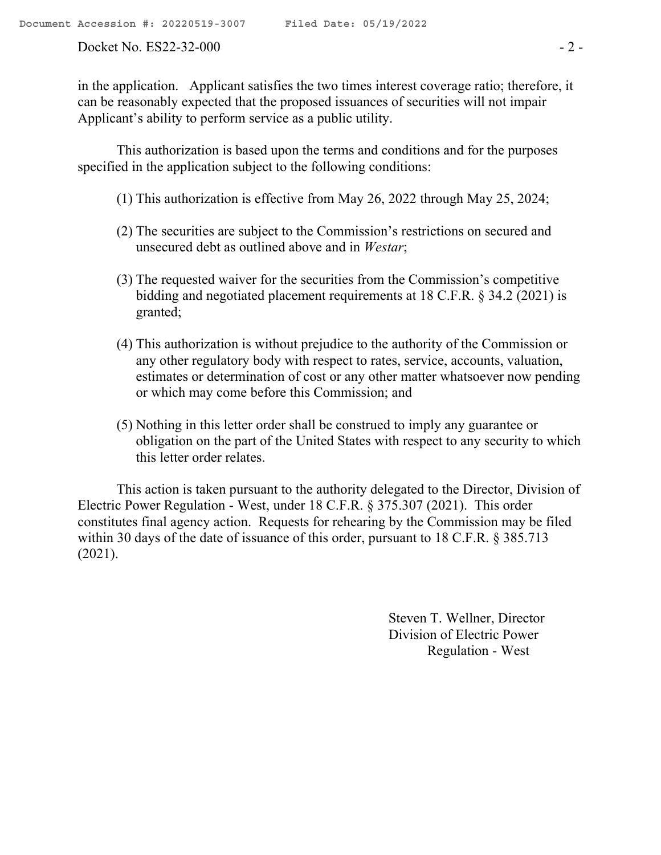Docket No. ES22-32-000 - 2 -

in the application. Applicant satisfies the two times interest coverage ratio; therefore, it can be reasonably expected that the proposed issuances of securities will not impair Applicant's ability to perform service as a public utility.

This authorization is based upon the terms and conditions and for the purposes specified in the application subject to the following conditions:

- (1) This authorization is effective from May 26, 2022 through May 25, 2024;
- (2) The securities are subject to the Commission's restrictions on secured and unsecured debt as outlined above and in *Westar*;
- (3) The requested waiver for the securities from the Commission's competitive bidding and negotiated placement requirements at 18 C.F.R. § 34.2 (2021) is granted;
- (4) This authorization is without prejudice to the authority of the Commission or any other regulatory body with respect to rates, service, accounts, valuation, estimates or determination of cost or any other matter whatsoever now pending or which may come before this Commission; and
- (5) Nothing in this letter order shall be construed to imply any guarantee or obligation on the part of the United States with respect to any security to which this letter order relates.

This action is taken pursuant to the authority delegated to the Director, Division of Electric Power Regulation - West, under 18 C.F.R. § 375.307 (2021). This order constitutes final agency action. Requests for rehearing by the Commission may be filed within 30 days of the date of issuance of this order, pursuant to 18 C.F.R. § 385.713 (2021).

> Steven T. Wellner, Director Division of Electric Power Regulation - West